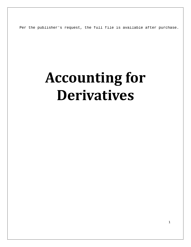Per the publisher's request, the full file is available after purchase.

# **Accounting for Derivatives**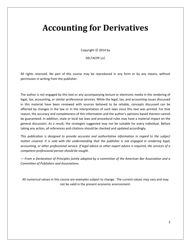## **Accounting for Derivatives**

Copyright  $©$  2014 by

#### DELTACPE LLC

All rights reserved. No part of this course may be reproduced in any form or by any means, without permission in writing from the publisher.

The author is not engaged by this text or any accompanying lecture or electronic media in the rendering of legal, tax, accounting, or similar professional services. While the legal, tax, and accounting issues discussed in this material have been reviewed with sources believed to be reliable, concepts discussed can be affected by changes in the law or in the interpretation of such laws since this text was printed. For that reason, the accuracy and completeness of this information and the author's opinions based thereon cannot be guaranteed. In addition, state or local tax laws and procedural rules may have a material impact on the general discussion. As a result, the strategies suggested may not be suitable for every individual. Before taking any action, all references and citations should be checked and updated accordingly.

*This publication is designed to provide accurate and authoritative information in regard to the subject matter covered. It is sold with the understanding that the publisher is not engaged in rendering legal, accounting, or other professional service. If legal advice or other expert advice is required, the services of a competent professional person should be sought.*

*—-From a Declaration of Principles jointly adopted by a committee of the American Bar Association and a Committee of Publishers and Associations.*

All numerical values in this course are examples subject to change. The current values may vary and may not be valid in the present economic environment.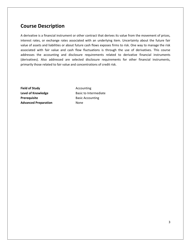### **Course Description**

A derivative is a financial instrument or other contract that derives its value from the movement of prices, interest rates, or exchange rates associated with an underlying item. Uncertainty about the future fair value of assets and liabilities or about future cash flows exposes firms to risk. One way to manage the risk associated with fair value and cash flow fluctuations is through the use of derivatives. This course addresses the accounting and disclosure requirements related to derivative financial instruments (derivatives). Also addressed are selected disclosure requirements for other financial instruments, primarily those related to fair value and concentrations of credit risk.

**Field of Study Accounting Level of Knowledge Basic to Intermediate Prerequisite** Basic Accounting **Advanced Preparation** None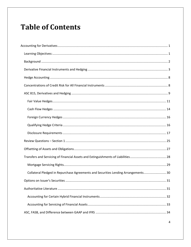### **Table of Contents**

| Collateral Pledged in Repurchase Agreements and Securities Lending Arrangements 30 |
|------------------------------------------------------------------------------------|
|                                                                                    |
|                                                                                    |
|                                                                                    |
|                                                                                    |
|                                                                                    |